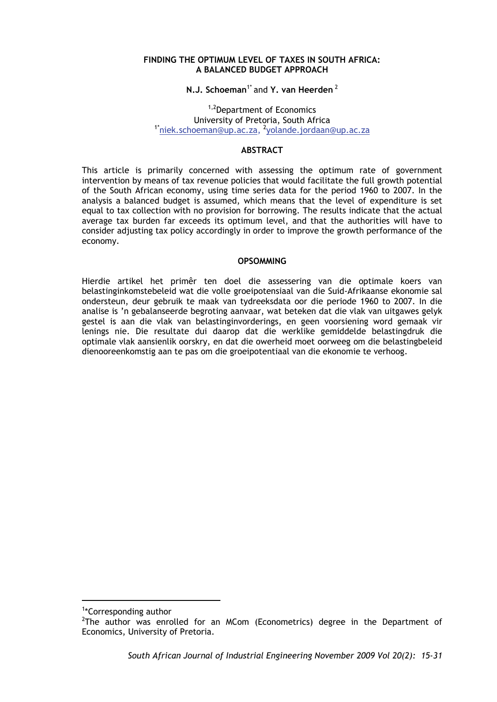#### **FINDING THE OPTIMUM LEVEL OF TAXES IN SOUTH AFRICA: A BALANCED BUDGET APPROACH**

## **N.J. Schoeman<sup>1\*</sup> and Y. van Heerden<sup>2</sup>**

1,2Department of Economics University of Pretoria, South Africa<br><sup>1\*</sup>niek.schoeman@up.ac.za, <sup>2</sup>yolande.jordaan@up.ac.za

## **ABSTRACT**

This article is primarily concerned with assessing the optimum rate of government intervention by means of tax revenue policies that would facilitate the full growth potential of the South African economy, using time series data for the period 1960 to 2007. In the analysis a balanced budget is assumed, which means that the level of expenditure is set equal to tax collection with no provision for borrowing. The results indicate that the actual average tax burden far exceeds its optimum level, and that the authorities will have to consider adjusting tax policy accordingly in order to improve the growth performance of the economy.

#### **OPSOMMING**

Hierdie artikel het primêr ten doel die assessering van die optimale koers van belastinginkomstebeleid wat die volle groeipotensiaal van die Suid-Afrikaanse ekonomie sal ondersteun, deur gebruik te maak van tydreeksdata oor die periode 1960 to 2007. In die analise is 'n gebalanseerde begroting aanvaar, wat beteken dat die vlak van uitgawes gelyk gestel is aan die vlak van belastinginvorderings, en geen voorsiening word gemaak vir lenings nie. Die resultate dui daarop dat die werklike gemiddelde belastingdruk die optimale vlak aansienlik oorskry, en dat die owerheid moet oorweeg om die belastingbeleid dienooreenkomstig aan te pas om die groeipotentiaal van die ekonomie te verhoog.

<u>.</u>

<sup>1</sup> \*Corresponding author

 $2$ The author was enrolled for an MCom (Econometrics) degree in the Department of Economics, University of Pretoria.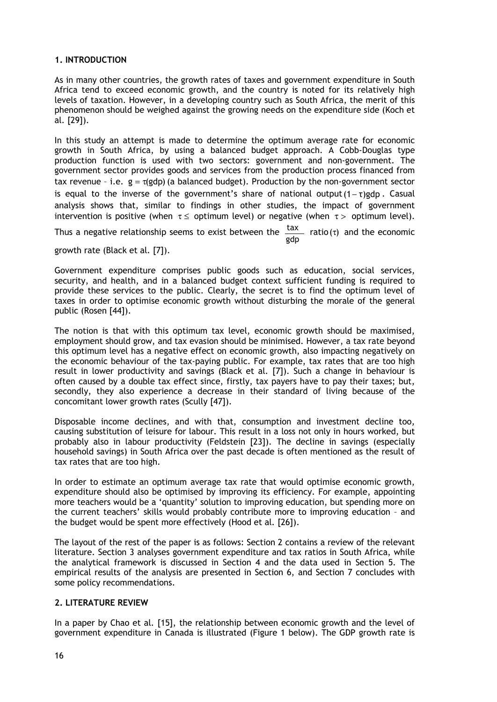## **1. INTRODUCTION**

As in many other countries, the growth rates of taxes and government expenditure in South Africa tend to exceed economic growth, and the country is noted for its relatively high levels of taxation. However, in a developing country such as South Africa, the merit of this phenomenon should be weighed against the growing needs on the expenditure side (Koch et al*.* [29]).

In this study an attempt is made to determine the optimum average rate for economic growth in South Africa, by using a balanced budget approach. A Cobb-Douglas type production function is used with two sectors: government and non-government. The government sector provides goods and services from the production process financed from tax revenue - i.e.  $g = \tau(gdp)$  (a balanced budget). Production by the non-government sector is equal to the inverse of the government's share of national output  $(1-\tau)$ gdp. Casual analysis shows that, similar to findings in other studies, the impact of government intervention is positive (when  $\tau \leq$  optimum level) or negative (when  $\tau >$  optimum level).

Thus a negative relationship seems to exist between the  $\frac{\text{tax}}{\text{gdp}}$  ratio ( $\tau$ ) and the economic

growth rate (Black et al*.* [7]).

Government expenditure comprises public goods such as education, social services, security, and health, and in a balanced budget context sufficient funding is required to provide these services to the public. Clearly, the secret is to find the optimum level of taxes in order to optimise economic growth without disturbing the morale of the general public (Rosen [44]).

The notion is that with this optimum tax level, economic growth should be maximised, employment should grow, and tax evasion should be minimised. However, a tax rate beyond this optimum level has a negative effect on economic growth, also impacting negatively on the economic behaviour of the tax-paying public. For example, tax rates that are too high result in lower productivity and savings (Black et al*.* [7]). Such a change in behaviour is often caused by a double tax effect since, firstly, tax payers have to pay their taxes; but, secondly, they also experience a decrease in their standard of living because of the concomitant lower growth rates (Scully [47]).

Disposable income declines, and with that, consumption and investment decline too, causing substitution of leisure for labour. This result in a loss not only in hours worked, but probably also in labour productivity (Feldstein [23]). The decline in savings (especially household savings) in South Africa over the past decade is often mentioned as the result of tax rates that are too high.

In order to estimate an optimum average tax rate that would optimise economic growth, expenditure should also be optimised by improving its efficiency. For example, appointing more teachers would be a 'quantity' solution to improving education, but spending more on the current teachers' skills would probably contribute more to improving education – and the budget would be spent more effectively (Hood et al*.* [26]).

The layout of the rest of the paper is as follows: Section 2 contains a review of the relevant literature. Section 3 analyses government expenditure and tax ratios in South Africa, while the analytical framework is discussed in Section 4 and the data used in Section 5. The empirical results of the analysis are presented in Section 6, and Section 7 concludes with some policy recommendations.

## **2. LITERATURE REVIEW**

In a paper by Chao et al*.* [15], the relationship between economic growth and the level of government expenditure in Canada is illustrated (Figure 1 below). The GDP growth rate is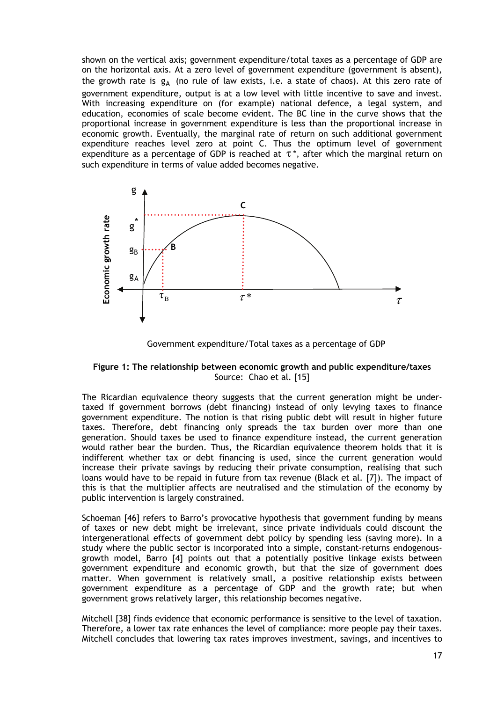shown on the vertical axis; government expenditure/total taxes as a percentage of GDP are on the horizontal axis. At a zero level of government expenditure (government is absent), the growth rate is  $g_A$  (no rule of law exists, i.e. a state of chaos). At this zero rate of government expenditure, output is at a low level with little incentive to save and invest. With increasing expenditure on (for example) national defence, a legal system, and education, economies of scale become evident. The BC line in the curve shows that the proportional increase in government expenditure is less than the proportional increase in economic growth. Eventually, the marginal rate of return on such additional government expenditure reaches level zero at point C. Thus the optimum level of government expenditure as a percentage of GDP is reached at  $\tau^*$ , after which the marginal return on such expenditure in terms of value added becomes negative.



Government expenditure/Total taxes as a percentage of GDP

#### **Figure 1: The relationship between economic growth and public expenditure/taxes**  Source: Chao et al*.* [15]

The Ricardian equivalence theory suggests that the current generation might be undertaxed if government borrows (debt financing) instead of only levying taxes to finance government expenditure. The notion is that rising public debt will result in higher future taxes. Therefore, debt financing only spreads the tax burden over more than one generation. Should taxes be used to finance expenditure instead, the current generation would rather bear the burden. Thus, the Ricardian equivalence theorem holds that it is indifferent whether tax or debt financing is used, since the current generation would increase their private savings by reducing their private consumption, realising that such loans would have to be repaid in future from tax revenue (Black et al*.* [7]). The impact of this is that the multiplier affects are neutralised and the stimulation of the economy by public intervention is largely constrained.

Schoeman [46] refers to Barro's provocative hypothesis that government funding by means of taxes or new debt might be irrelevant, since private individuals could discount the intergenerational effects of government debt policy by spending less (saving more). In a study where the public sector is incorporated into a simple, constant-returns endogenousgrowth model, Barro [4] points out that a potentially positive linkage exists between government expenditure and economic growth, but that the size of government does matter. When government is relatively small, a positive relationship exists between government expenditure as a percentage of GDP and the growth rate; but when government grows relatively larger, this relationship becomes negative.

Mitchell [38] finds evidence that economic performance is sensitive to the level of taxation. Therefore, a lower tax rate enhances the level of compliance: more people pay their taxes.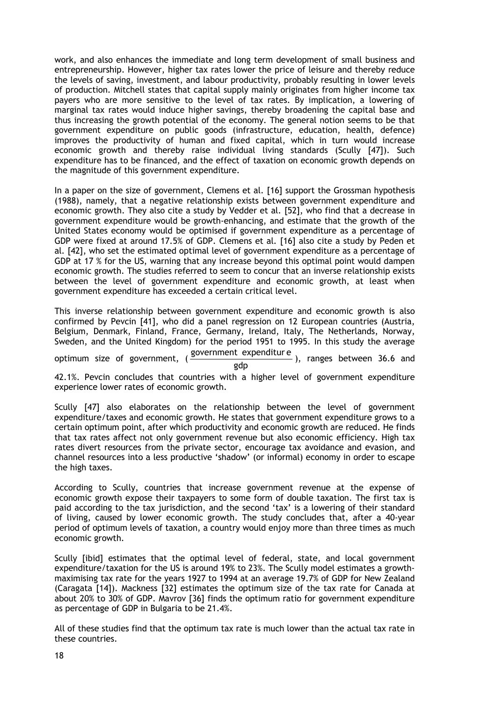work, and also enhances the immediate and long term development of small business and entrepreneurship. However, higher tax rates lower the price of leisure and thereby reduce the levels of saving, investment, and labour productivity, probably resulting in lower levels of production. Mitchell states that capital supply mainly originates from higher income tax payers who are more sensitive to the level of tax rates. By implication, a lowering of marginal tax rates would induce higher savings, thereby broadening the capital base and thus increasing the growth potential of the economy. The general notion seems to be that government expenditure on public goods (infrastructure, education, health, defence) improves the productivity of human and fixed capital, which in turn would increase economic growth and thereby raise individual living standards (Scully [47]). Such expenditure has to be financed, and the effect of taxation on economic growth depends on the magnitude of this government expenditure.

In a paper on the size of government, Clemens et al*.* [16] support the Grossman hypothesis (1988), namely, that a negative relationship exists between government expenditure and economic growth. They also cite a study by Vedder et al*.* [52], who find that a decrease in government expenditure would be growth-enhancing, and estimate that the growth of the United States economy would be optimised if government expenditure as a percentage of GDP were fixed at around 17.5% of GDP. Clemens et al*.* [16] also cite a study by Peden et al*.* [42], who set the estimated optimal level of government expenditure as a percentage of GDP at 17 % for the US, warning that any increase beyond this optimal point would dampen economic growth. The studies referred to seem to concur that an inverse relationship exists between the level of government expenditure and economic growth, at least when government expenditure has exceeded a certain critical level.

This inverse relationship between government expenditure and economic growth is also confirmed by Pevcin [41], who did a panel regression on 12 European countries (Austria, Belgium, Denmark, Finland, France, Germany, Ireland, Italy, The Netherlands, Norway, Sweden, and the United Kingdom) for the period 1951 to 1995. In this study the average

optimum size of government,  $(\frac{government\ expenditure}{gdp})$ , ranges between 36.6 and

42.1%. Pevcin concludes that countries with a higher level of government expenditure experience lower rates of economic growth.

Scully [47] also elaborates on the relationship between the level of government expenditure/taxes and economic growth. He states that government expenditure grows to a certain optimum point, after which productivity and economic growth are reduced. He finds that tax rates affect not only government revenue but also economic efficiency. High tax rates divert resources from the private sector, encourage tax avoidance and evasion, and channel resources into a less productive 'shadow' (or informal) economy in order to escape the high taxes.

According to Scully, countries that increase government revenue at the expense of economic growth expose their taxpayers to some form of double taxation. The first tax is paid according to the tax jurisdiction, and the second 'tax' is a lowering of their standard of living, caused by lower economic growth. The study concludes that, after a 40-year period of optimum levels of taxation, a country would enjoy more than three times as much economic growth.

Scully [ibid] estimates that the optimal level of federal, state, and local government expenditure/taxation for the US is around 19% to 23%. The Scully model estimates a growthmaximising tax rate for the years 1927 to 1994 at an average 19.7% of GDP for New Zealand (Caragata [14]). Mackness [32] estimates the optimum size of the tax rate for Canada at about 20% to 30% of GDP. Mavrov [36] finds the optimum ratio for government expenditure as percentage of GDP in Bulgaria to be 21.4%.

All of these studies find that the optimum tax rate is much lower than the actual tax rate in these countries.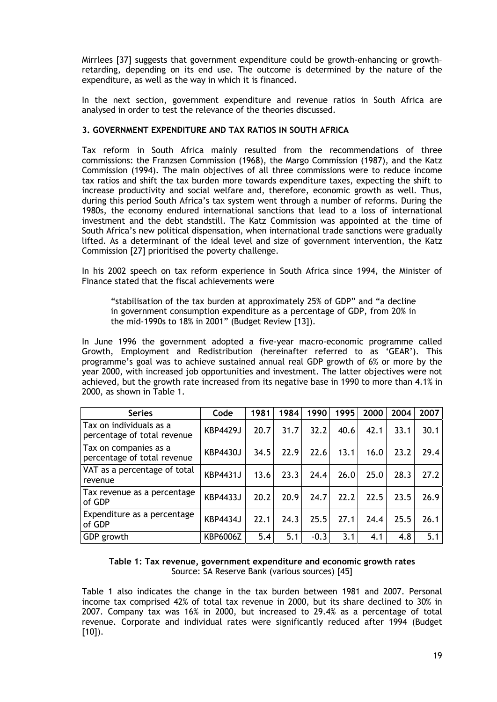Mirrlees [37] suggests that government expenditure could be growth-enhancing or growth– retarding, depending on its end use. The outcome is determined by the nature of the expenditure, as well as the way in which it is financed.

In the next section, government expenditure and revenue ratios in South Africa are analysed in order to test the relevance of the theories discussed.

## **3. GOVERNMENT EXPENDITURE AND TAX RATIOS IN SOUTH AFRICA**

Tax reform in South Africa mainly resulted from the recommendations of three commissions: the Franzsen Commission (1968), the Margo Commission (1987), and the Katz Commission (1994). The main objectives of all three commissions were to reduce income tax ratios and shift the tax burden more towards expenditure taxes, expecting the shift to increase productivity and social welfare and, therefore, economic growth as well. Thus, during this period South Africa's tax system went through a number of reforms. During the 1980s, the economy endured international sanctions that lead to a loss of international investment and the debt standstill. The Katz Commission was appointed at the time of South Africa's new political dispensation, when international trade sanctions were gradually lifted. As a determinant of the ideal level and size of government intervention, the Katz Commission [27] prioritised the poverty challenge.

In his 2002 speech on tax reform experience in South Africa since 1994, the Minister of Finance stated that the fiscal achievements were

"stabilisation of the tax burden at approximately 25% of GDP" and "a decline in government consumption expenditure as a percentage of GDP, from 20% in the mid-1990s to 18% in 2001" (Budget Review [13]).

In June 1996 the government adopted a five-year macro-economic programme called Growth, Employment and Redistribution (hereinafter referred to as 'GEAR'). This programme's goal was to achieve sustained annual real GDP growth of 6% or more by the year 2000, with increased job opportunities and investment. The latter objectives were not achieved, but the growth rate increased from its negative base in 1990 to more than 4.1% in 2000, as shown in Table 1.

| <b>Series</b>                                          | Code            | 1981 | 1984 | 1990   | 1995 | 2000 | 2004 | 2007 |
|--------------------------------------------------------|-----------------|------|------|--------|------|------|------|------|
| Tax on individuals as a<br>percentage of total revenue | <b>KBP4429J</b> | 20.7 | 31.7 | 32.2   | 40.6 | 42.1 | 33.1 | 30.1 |
| Tax on companies as a<br>percentage of total revenue   | KBP4430J        | 34.5 | 22.9 | 22.6   | 13.1 | 16.0 | 23.2 | 29.4 |
| VAT as a percentage of total<br>revenue                | <b>KBP4431J</b> | 13.6 | 23.3 | 24.4   | 26.0 | 25.0 | 28.3 | 27.2 |
| Tax revenue as a percentage<br>of GDP                  | <b>KBP4433J</b> | 20.2 | 20.9 | 24.7   | 22.2 | 22.5 | 23.5 | 26.9 |
| Expenditure as a percentage<br>of GDP                  | <b>KBP4434J</b> | 22.1 | 24.3 | 25.5   | 27.1 | 24.4 | 25.5 | 26.1 |
| GDP growth                                             | KBP6006Z        | 5.4  | 5.1  | $-0.3$ | 3.1  | 4.1  | 4.8  | 5.1  |

#### **Table 1: Tax revenue, government expenditure and economic growth rates**  Source: SA Reserve Bank (various sources) [45]

Table 1 also indicates the change in the tax burden between 1981 and 2007. Personal income tax comprised 42% of total tax revenue in 2000, but its share declined to 30% in 2007. Company tax was 16% in 2000, but increased to 29.4% as a percentage of total revenue. Corporate and individual rates were significantly reduced after 1994 (Budget  $[10]$ ).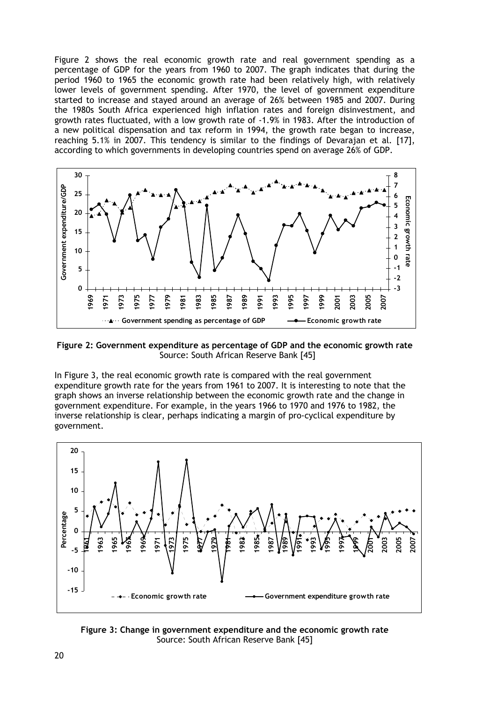Figure 2 shows the real economic growth rate and real government spending as a percentage of GDP for the years from 1960 to 2007. The graph indicates that during the period 1960 to 1965 the economic growth rate had been relatively high, with relatively lower levels of government spending. After 1970, the level of government expenditure started to increase and stayed around an average of 26% between 1985 and 2007. During the 1980s South Africa experienced high inflation rates and foreign disinvestment, and growth rates fluctuated, with a low growth rate of -1.9% in 1983. After the introduction of a new political dispensation and tax reform in 1994, the growth rate began to increase, reaching 5.1% in 2007. This tendency is similar to the findings of Devarajan et al*.* [17], according to which governments in developing countries spend on average 26% of GDP.



**Figure 2: Government expenditure as percentage of GDP and the economic growth rate**  Source: South African Reserve Bank [45]

In Figure 3, the real economic growth rate is compared with the real government expenditure growth rate for the years from 1961 to 2007. It is interesting to note that the graph shows an inverse relationship between the economic growth rate and the change in government expenditure. For example, in the years 1966 to 1970 and 1976 to 1982, the inverse relationship is clear, perhaps indicating a margin of pro-cyclical expenditure by government.



**Figure 3: Change in government expenditure and the economic growth rate**  Source: South African Reserve Bank [45]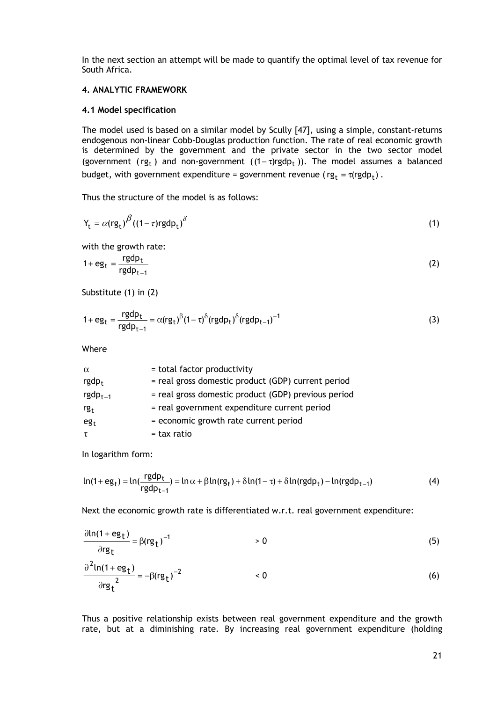In the next section an attempt will be made to quantify the optimal level of tax revenue for South Africa.

## **4. ANALYTIC FRAMEWORK**

#### **4.1 Model specification**

The model used is based on a similar model by Scully [47], using a simple, constant-returns endogenous non-linear Cobb-Douglas production function. The rate of real economic growth is determined by the government and the private sector in the two sector model (government ( $\mathbf{r}_t$ ) and non-government ( $(1 - \tau) \mathbf{r}_t$ gdp<sub>t</sub>)). The model assumes a balanced budget, with government expenditure = government revenue ( $rg_t = \tau (rgdp_t)$ .

Thus the structure of the model is as follows:

$$
Y_{t} = \alpha (rg_{t})^{\beta} ((1-\tau)rgdp_{t})^{\delta}
$$
 (1)

with the growth rate:

$$
1 + \mathbf{eg}_t = \frac{\mathbf{rgdp}_t}{\mathbf{rgdp}_{t-1}} \tag{2}
$$

Substitute (1) in (2)

$$
1 + \mathbf{eg}_t = \frac{\mathbf{rgdp}_t}{\mathbf{rgdp}_{t-1}} = \alpha (\mathbf{rg}_t)^{\beta} (1 - \tau)^{\delta} (\mathbf{rgdp}_t)^{\delta} (\mathbf{rgdp}_{t-1})^{-1}
$$
(3)

Where

| $\alpha$        | = total factor productivity                         |
|-----------------|-----------------------------------------------------|
| $rgdp_t$        | = real gross domestic product (GDP) current period  |
| $rgdp_{t-1}$    | = real gross domestic product (GDP) previous period |
| rg <sub>t</sub> | = real government expenditure current period        |
| $eg_t$          | = economic growth rate current period               |
| τ               | = tax ratio                                         |

In logarithm form:

$$
\ln(1+eg_t) = \ln(\frac{rgdp_t}{rgdp_{t-1}}) = \ln \alpha + \beta \ln(rg_t) + \delta \ln(1-\tau) + \delta \ln(rgdp_t) - \ln(rgdp_{t-1})
$$
\n(4)

Next the economic growth rate is differentiated w.r.t. real government expenditure:

$$
\frac{\partial \ln(1 + \mathbf{eg}_t)}{\partial \mathbf{rg}_t} = \beta(\mathbf{rg}_t)^{-1} > 0
$$
\n(5)  
\n
$$
\frac{\partial^2 \ln(1 + \mathbf{eg}_t)}{\partial \mathbf{rg}_t^2} = -\beta(\mathbf{rg}_t)^{-2} < 0
$$
\n(6)

Thus a positive relationship exists between real government expenditure and the growth rate, but at a diminishing rate. By increasing real government expenditure (holding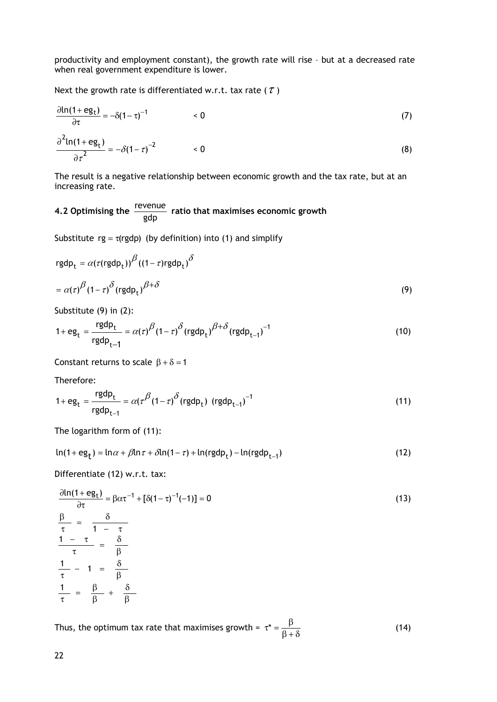productivity and employment constant), the growth rate will rise – but at a decreased rate when real government expenditure is lower.

Next the growth rate is differentiated w.r.t. tax rate ( $\tau$ )

$$
\frac{\partial \ln(1 + \mathbf{eg}_t)}{\partial \tau} = -\delta (1 - \tau)^{-1} \qquad \qquad < 0 \tag{7}
$$

$$
\frac{\partial^2 \ln(1 + \mathbf{eg}_t)}{\partial \tau^2} = -\delta(1 - \tau)^{-2} \qquad \qquad < 0 \tag{8}
$$

The result is a negative relationship between economic growth and the tax rate, but at an increasing rate.

# **4.2 Optimising the** gdp revenue **ratio that maximises economic growth**

Substitute  $rg = \tau(rgdp)$  (by definition) into (1) and simplify

$$
rgdp_{t} = \alpha(\tau (rgdp_{t}))^{\beta}((1-\tau)rgdp_{t})^{\delta}
$$

$$
= \alpha(\tau)^{\beta}(1-\tau)^{\delta}(rgdp_{t})^{\beta+\delta}
$$
(9)

Substitute (9) in (2):

$$
1 + \mathbf{eg}_t = \frac{\mathbf{rgdp}_t}{\mathbf{rgdp}_{t-1}} = \alpha(\tau)^{\beta} (1 - \tau)^{\delta} (\mathbf{rgdp}_t)^{\beta + \delta} (\mathbf{rgdp}_{t-1})^{-1}
$$
(10)

Constant returns to scale  $\beta + \delta = 1$ 

Therefore:

$$
1 + \text{eg}_{t} = \frac{\text{rgdp}_{t}}{\text{rgdp}_{t-1}} = \alpha (\tau^{\beta} (1 - \tau)^{\delta} (\text{rgdp}_{t}) (\text{rgdp}_{t-1})^{-1}
$$
(11)

The logarithm form of (11):

$$
\ln(1+eg_t) = \ln \alpha + \beta \ln \tau + \delta \ln(1-\tau) + \ln(rgdp_t) - \ln(rgdp_{t-1})
$$
\n(12)

Differentiate (12) w.r.t. tax:

$$
\frac{\partial \ln(1 + \mathbf{eg}_t)}{\partial \tau} = \beta \alpha \tau^{-1} + [\delta(1 - \tau)^{-1}(-1)] = 0
$$
\n
$$
\frac{\beta}{\tau} = \frac{\delta}{1 - \tau}
$$
\n
$$
\frac{1 - \tau}{\tau} = \frac{\delta}{\beta}
$$
\n
$$
\frac{1}{\tau} - 1 = \frac{\delta}{\beta}
$$
\n
$$
\frac{1}{\tau} = \frac{\beta}{\beta} + \frac{\delta}{\beta}
$$
\n(13)

Thus, the optimum tax rate that maximises growth =  $\tau^* = \frac{\beta}{\beta + \delta}$  (14)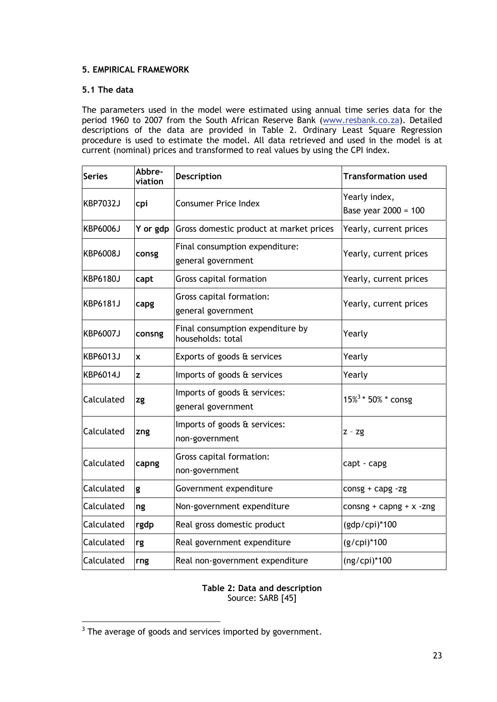# **5. EMPIRICAL FRAMEWORK**

## **5.1 The data**

The parameters used in the model were estimated using annual time series data for the period 1960 to 2007 from the South African Reserve Bank (www.resbank.co.za). Detailed descriptions of the data are provided in Table 2. Ordinary Least Square Regression procedure is used to estimate the model. All data retrieved and used in the model is at current (nominal) prices and transformed to real values by using the CPI index.

| <b>Series</b> | Abbre-<br>viation                                               | Description                                          | <b>Transformation used</b>            |  |
|---------------|-----------------------------------------------------------------|------------------------------------------------------|---------------------------------------|--|
| KBP7032J      | cpi                                                             | <b>Consumer Price Index</b>                          | Yearly index,<br>Base year 2000 = 100 |  |
| KBP6006J      | Y or gdp                                                        | Gross domestic product at market prices              | Yearly, current prices                |  |
| KBP6008J      | consg                                                           | Final consumption expenditure:<br>general government | Yearly, current prices                |  |
| KBP6180J      | capt                                                            | Gross capital formation                              | Yearly, current prices                |  |
| KBP6181J      | Gross capital formation:<br>capg<br>general government          |                                                      | Yearly, current prices                |  |
| KBP6007J      | Final consumption expenditure by<br>consng<br>households: total |                                                      | Yearly                                |  |
| KBP6013J      | X                                                               | Exports of goods & services                          | Yearly                                |  |
| KBP6014J      | z                                                               | Imports of goods & services                          | Yearly                                |  |
| Calculated    | zg                                                              | Imports of goods & services:<br>general government   | 15% <sup>3</sup> * 50% * consg        |  |
| Calculated    | zng                                                             | Imports of goods & services:<br>non-government       | $Z - Zg$                              |  |
| Calculated    | Gross capital formation:<br>capng<br>non-government             |                                                      | capt - capg                           |  |
| Calculated    | g                                                               | Government expenditure                               | $consg + capg - zg$                   |  |
| Calculated    | ng                                                              | Non-government expenditure                           | consng + capng + $x$ -zng             |  |
| Calculated    | rgdp                                                            | Real gross domestic product                          | (gdp/cpi)*100                         |  |
| Calculated    | rg                                                              | Real government expenditure                          | (g/cpi)*100                           |  |
| Calculated    | rng                                                             | Real non-government expenditure                      | $(ng/cpi)*100$                        |  |

## **Table 2: Data and description**  Source: SARB [45]

 $\frac{1}{3}$  The average of goods and services imported by government.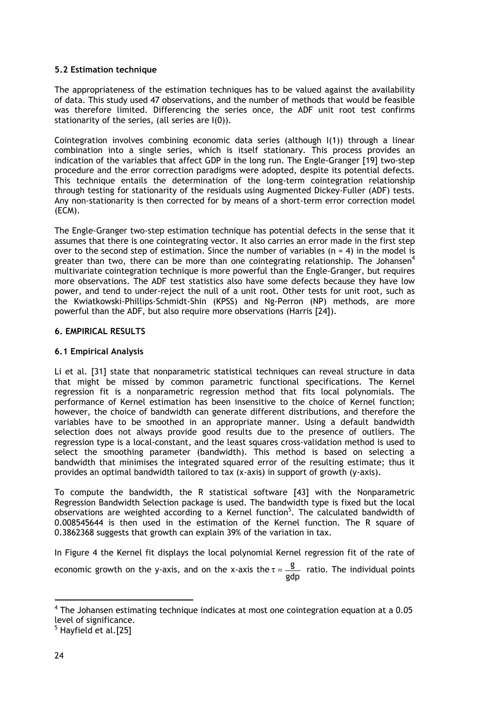## **5.2 Estimation technique**

The appropriateness of the estimation techniques has to be valued against the availability of data. This study used 47 observations, and the number of methods that would be feasible was therefore limited. Differencing the series once, the ADF unit root test confirms stationarity of the series, (all series are I(0)).

Cointegration involves combining economic data series (although I(1)) through a linear combination into a single series, which is itself stationary. This process provides an indication of the variables that affect GDP in the long run. The Engle-Granger [19] two-step procedure and the error correction paradigms were adopted, despite its potential defects. This technique entails the determination of the long-term cointegration relationship through testing for stationarity of the residuals using Augmented Dickey-Fuller (ADF) tests. Any non-stationarity is then corrected for by means of a short-term error correction model (ECM).

The Engle-Granger two-step estimation technique has potential defects in the sense that it assumes that there is one cointegrating vector. It also carries an error made in the first step over to the second step of estimation. Since the number of variables  $(n = 4)$  in the model is greater than two, there can be more than one cointegrating relationship. The Johansen<sup>4</sup> multivariate cointegration technique is more powerful than the Engle-Granger, but requires more observations. The ADF test statistics also have some defects because they have low power, and tend to under-reject the null of a unit root. Other tests for unit root, such as the Kwiatkowski-Phillips-Schmidt-Shin (KPSS) and Ng-Perron (NP) methods, are more powerful than the ADF, but also require more observations (Harris [24]).

## **6. EMPIRICAL RESULTS**

## **6.1 Empirical Analysis**

Li et al*.* [31] state that nonparametric statistical techniques can reveal structure in data that might be missed by common parametric functional specifications. The Kernel regression fit is a nonparametric regression method that fits local polynomials. The performance of Kernel estimation has been insensitive to the choice of Kernel function; however, the choice of bandwidth can generate different distributions, and therefore the variables have to be smoothed in an appropriate manner. Using a default bandwidth selection does not always provide good results due to the presence of outliers. The regression type is a local-constant, and the least squares cross-validation method is used to select the smoothing parameter (bandwidth). This method is based on selecting a bandwidth that minimises the integrated squared error of the resulting estimate; thus it provides an optimal bandwidth tailored to tax (x-axis) in support of growth (y-axis).

To compute the bandwidth, the R statistical software [43] with the Nonparametric Regression Bandwidth Selection package is used. The bandwidth type is fixed but the local observations are weighted according to a Kernel function<sup>5</sup>. The calculated bandwidth of 0.008545644 is then used in the estimation of the Kernel function. The R square of 0.3862368 suggests that growth can explain 39% of the variation in tax.

In Figure 4 the Kernel fit displays the local polynomial Kernel regression fit of the rate of economic growth on the y-axis, and on the x-axis the  $\tau = \frac{g}{gdp}$  ratio. The individual points

 $\overline{a}$  $4$  The Johansen estimating technique indicates at most one cointegration equation at a 0.05 level of significance.

<sup>&</sup>lt;sup>5</sup> Hayfield et al. [25]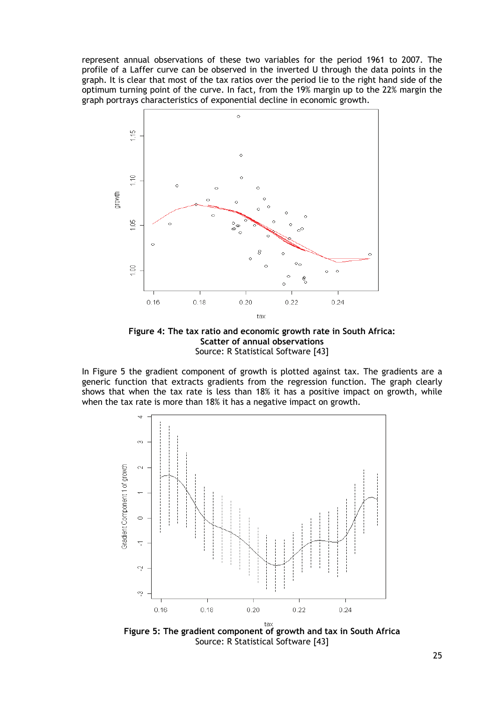represent annual observations of these two variables for the period 1961 to 2007. The profile of a Laffer curve can be observed in the inverted U through the data points in the graph. It is clear that most of the tax ratios over the period lie to the right hand side of the optimum turning point of the curve. In fact, from the 19% margin up to the 22% margin the graph portrays characteristics of exponential decline in economic growth.



**Figure 4: The tax ratio and economic growth rate in South Africa: Scatter of annual observations**  Source: R Statistical Software [43]

In Figure 5 the gradient component of growth is plotted against tax. The gradients are a generic function that extracts gradients from the regression function. The graph clearly shows that when the tax rate is less than 18% it has a positive impact on growth, while when the tax rate is more than 18% it has a negative impact on growth.



**Figure 5: The gradient component of growth and tax in South Africa**  Source: R Statistical Software [43]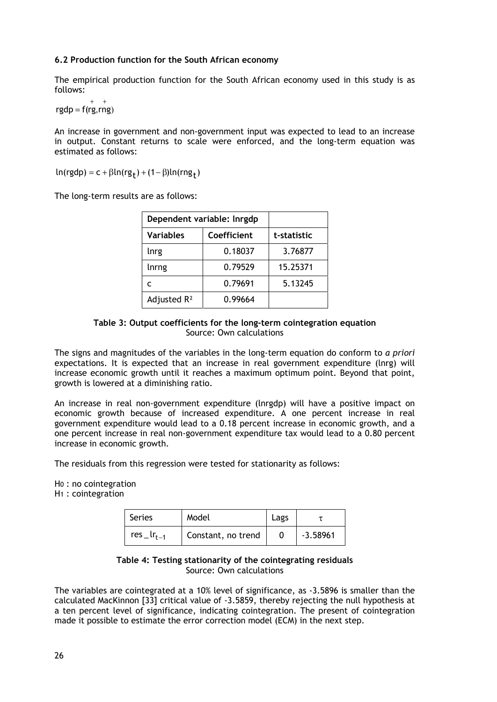## **6.2 Production function for the South African economy**

The empirical production function for the South African economy used in this study is as follows:

rgdp =  $f(rg, rng)$ 

An increase in government and non-government input was expected to lead to an increase in output. Constant returns to scale were enforced, and the long-term equation was estimated as follows:

 $ln(rgdp) = c + \beta ln(rg_t) + (1 - \beta)ln(rng_t)$ 

The long-term results are as follows:

| Dependent variable: Inrgdp |             |          |
|----------------------------|-------------|----------|
| <b>Variables</b>           | Coefficient |          |
| Inrg                       | 0.18037     | 3.76877  |
| lnrng                      | 0.79529     | 15.25371 |
|                            | 0.79691     | 5.13245  |
| Adjusted $R^2$             | 0.99664     |          |

#### **Table 3: Output coefficients for the long-term cointegration equation**  Source: Own calculations

The signs and magnitudes of the variables in the long-term equation do conform to *a priori* expectations. It is expected that an increase in real government expenditure (lnrg) will increase economic growth until it reaches a maximum optimum point. Beyond that point, growth is lowered at a diminishing ratio.

An increase in real non-government expenditure (lnrgdp) will have a positive impact on economic growth because of increased expenditure. A one percent increase in real government expenditure would lead to a 0.18 percent increase in economic growth, and a one percent increase in real non-government expenditure tax would lead to a 0.80 percent increase in economic growth.

The residuals from this regression were tested for stationarity as follows:

H0 : no cointegration

H1 : cointegration

| <b>Series</b>                 | Model              | Lags |            |
|-------------------------------|--------------------|------|------------|
| res $\lfloor r_{t-1} \rfloor$ | Constant, no trend |      | $-3.58961$ |

#### **Table 4: Testing stationarity of the cointegrating residuals**  Source: Own calculations

The variables are cointegrated at a 10% level of significance, as -3.5896 is smaller than the calculated MacKinnon [33] critical value of -3.5859, thereby rejecting the null hypothesis at a ten percent level of significance, indicating cointegration. The present of cointegration made it possible to estimate the error correction model (ECM) in the next step.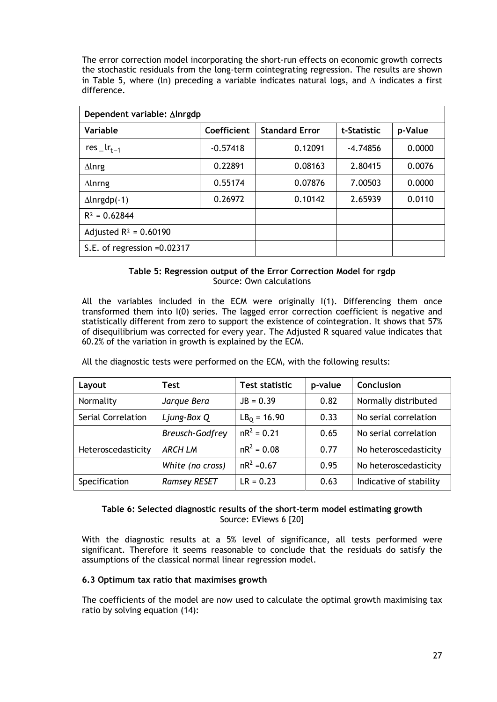The error correction model incorporating the short-run effects on economic growth corrects the stochastic residuals from the long-term cointegrating regression. The results are shown in Table 5, where (ln) preceding a variable indicates natural logs, and  $\Delta$  indicates a first difference.

| Dependent variable: ∆Inrgdp   |             |                       |             |         |  |
|-------------------------------|-------------|-----------------------|-------------|---------|--|
| Variable                      | Coefficient | <b>Standard Error</b> | t-Statistic | p-Value |  |
| res $\lfloor r_{t-1} \rfloor$ | $-0.57418$  | 0.12091               | -4.74856    | 0.0000  |  |
| $\Delta$ lnrg                 | 0.22891     | 0.08163               | 2.80415     | 0.0076  |  |
| $\Delta$ Inrng                | 0.55174     | 0.07876               | 7.00503     | 0.0000  |  |
| $\Delta$ lnrgdp(-1)           | 0.26972     | 0.10142               | 2.65939     | 0.0110  |  |
| $R^2 = 0.62844$               |             |                       |             |         |  |
| Adjusted $R^2 = 0.60190$      |             |                       |             |         |  |
| S.E. of regression $=0.02317$ |             |                       |             |         |  |

## **Table 5: Regression output of the Error Correction Model for rgdp**  Source: Own calculations

All the variables included in the ECM were originally I(1). Differencing them once transformed them into I(0) series. The lagged error correction coefficient is negative and statistically different from zero to support the existence of cointegration. It shows that 57% of disequilibrium was corrected for every year. The Adjusted R squared value indicates that 60.2% of the variation in growth is explained by the ECM.

| Layout             | Test                   | Test statistic | p-value | Conclusion              |
|--------------------|------------------------|----------------|---------|-------------------------|
| Normality          | Jargue Bera            | $JB = 0.39$    | 0.82    | Normally distributed    |
| Serial Correlation | Ljung-Box Q            | $LB_0 = 16.90$ | 0.33    | No serial correlation   |
|                    | <b>Breusch-Godfrey</b> | $nR^2 = 0.21$  | 0.65    | No serial correlation   |
| Heteroscedasticity | <b>ARCH LM</b>         | $nR^2 = 0.08$  | 0.77    | No heteroscedasticity   |
|                    | White (no cross)       | $nR^2 = 0.67$  | 0.95    | No heteroscedasticity   |
| Specification      | <b>Ramsey RESET</b>    | $LR = 0.23$    | 0.63    | Indicative of stability |

All the diagnostic tests were performed on the ECM, with the following results:

#### **Table 6: Selected diagnostic results of the short-term model estimating growth**  Source: EViews 6 [20]

With the diagnostic results at a 5% level of significance, all tests performed were significant. Therefore it seems reasonable to conclude that the residuals do satisfy the assumptions of the classical normal linear regression model.

#### **6.3 Optimum tax ratio that maximises growth**

The coefficients of the model are now used to calculate the optimal growth maximising tax ratio by solving equation (14):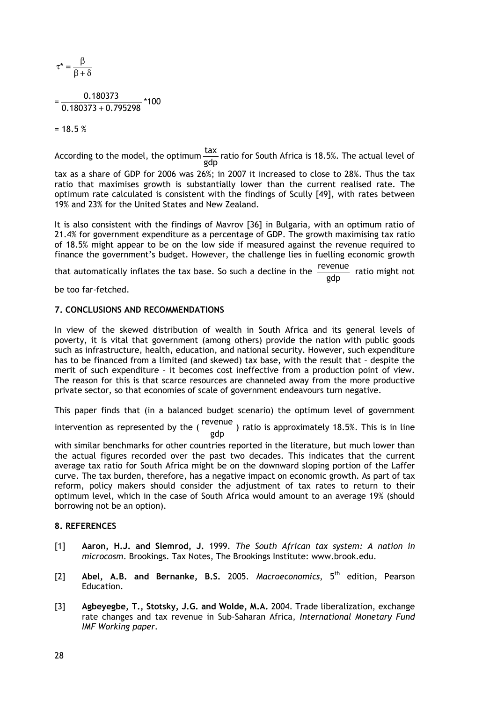$$
\tau^* = \frac{\beta}{\beta + \delta}
$$

$$
=\frac{0.180373}{0.180373+0.795298}*100
$$

 $= 18.5 %$ 

According to the model, the optimum  $\frac{\text{tax}}{\text{gdp}}$  ratio for South Africa is 18.5%. The actual level of

tax as a share of GDP for 2006 was 26%; in 2007 it increased to close to 28%. Thus the tax ratio that maximises growth is substantially lower than the current realised rate. The optimum rate calculated is consistent with the findings of Scully [49], with rates between 19% and 23% for the United States and New Zealand.

It is also consistent with the findings of Mavrov [36] in Bulgaria, with an optimum ratio of 21.4% for government expenditure as a percentage of GDP. The growth maximising tax ratio of 18.5% might appear to be on the low side if measured against the revenue required to finance the government's budget. However, the challenge lies in fuelling economic growth

that automatically inflates the tax base. So such a decline in the  $\frac{\text{revenue}}{\text{gdp}}$  ratio might not

be too far-fetched.

#### **7. CONCLUSIONS AND RECOMMENDATIONS**

In view of the skewed distribution of wealth in South Africa and its general levels of poverty, it is vital that government (among others) provide the nation with public goods such as infrastructure, health, education, and national security. However, such expenditure has to be financed from a limited (and skewed) tax base, with the result that – despite the merit of such expenditure – it becomes cost ineffective from a production point of view. The reason for this is that scarce resources are channeled away from the more productive private sector, so that economies of scale of government endeavours turn negative.

This paper finds that (in a balanced budget scenario) the optimum level of government

intervention as represented by the ( $\frac{revenue}{gdp}$ ) ratio is approximately 18.5%. This is in line

with similar benchmarks for other countries reported in the literature, but much lower than the actual figures recorded over the past two decades. This indicates that the current average tax ratio for South Africa might be on the downward sloping portion of the Laffer curve. The tax burden, therefore, has a negative impact on economic growth. As part of tax reform, policy makers should consider the adjustment of tax rates to return to their optimum level, which in the case of South Africa would amount to an average 19% (should borrowing not be an option).

#### **8. REFERENCES**

- [1] **Aaron, H.J. and Slemrod, J.** 1999. *The South African tax system: A nation in microcosm*. Brookings. Tax Notes, The Brookings Institute: www.brook.edu.
- [2] **Abel, A.B. and Bernanke, B.S.** 2005. *Macroeconomics*, 5th edition, Pearson Education.
- [3] **Agbeyegbe, T., Stotsky, J.G. and Wolde, M.A.** 2004. Trade liberalization, exchange rate changes and tax revenue in Sub-Saharan Africa, *International Monetary Fund IMF Working paper.*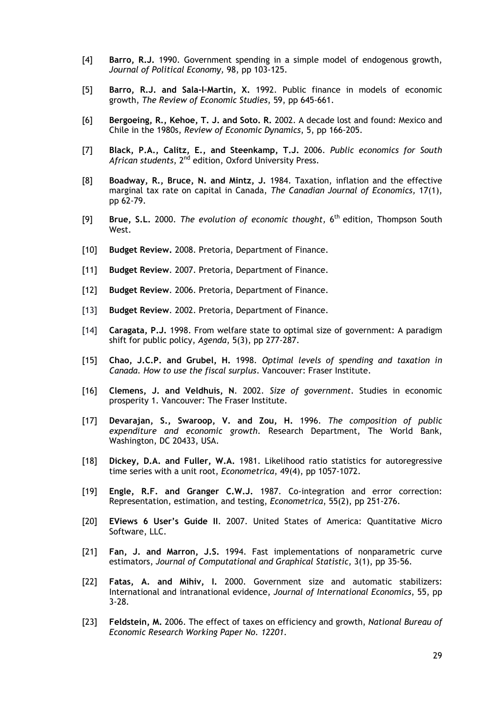- [4] **Barro, R.J.** 1990. Government spending in a simple model of endogenous growth, *Journal of Political Economy,* 98, pp 103-125.
- [5] **Barro, R.J. and Sala-I-Martin, X.** 1992. Public finance in models of economic growth, *The Review of Economic Studies*, 59, pp 645-661.
- [6] **Bergoeing, R., Kehoe, T. J. and Soto. R.** 2002. A decade lost and found: Mexico and Chile in the 1980s, *Review of Economic Dynamics*, 5, pp 166-205.
- [7] **Black, P.A., Calitz, E., and Steenkamp, T.J.** 2006. *Public economics for South African students*, 2nd edition, Oxford University Press.
- [8] **Boadway, R., Bruce, N. and Mintz, J.** 1984. Taxation, inflation and the effective marginal tax rate on capital in Canada, *The Canadian Journal of Economics,* 17(1), pp 62-79.
- [9] **Brue, S.L.** 2000. *The evolution of economic thought,* 6th edition, Thompson South West.
- [10] **Budget Review.** 2008. Pretoria, Department of Finance.
- [11] **Budget Review**. 2007. Pretoria, Department of Finance.
- [12] **Budget Review**. 2006. Pretoria, Department of Finance.
- [13] **Budget Review**. 2002. Pretoria, Department of Finance.
- [14] **Caragata, P.J.** 1998. From welfare state to optimal size of government: A paradigm shift for public policy, *Agenda*, 5(3), pp 277-287.
- [15] **Chao, J.C.P. and Grubel, H.** 1998. *Optimal levels of spending and taxation in Canada. How to use the fiscal surplus*. Vancouver: Fraser Institute.
- [16] **Clemens, J. and Veldhuis, N**. 2002. *Size of government*. Studies in economic prosperity 1. Vancouver: The Fraser Institute.
- [17] **Devarajan, S., Swaroop, V. and Zou, H.** 1996. *The composition of public expenditure and economic growth*. Research Department, The World Bank, Washington, DC 20433, USA.
- [18] **Dickey, D.A. and Fuller, W.A.** 1981. Likelihood ratio statistics for autoregressive time series with a unit root, *Econometrica*, 49(4), pp 1057-1072.
- [19] **Engle, R.F. and Granger C.W.J.** 1987. Co-integration and error correction: Representation, estimation, and testing, *Econometrica*, 55(2), pp 251-276.
- [20] **EViews 6 User's Guide II**. 2007. United States of America: Quantitative Micro Software, LLC.
- [21] **Fan, J. and Marron, J.S.** 1994. Fast implementations of nonparametric curve estimators, *Journal of Computational and Graphical Statistic*, 3(1), pp 35-56.
- [22] **Fatas, A. and Mihiv, I.** 2000. Government size and automatic stabilizers: International and intranational evidence, *Journal of International Economics*, 55, pp 3-28.
- [23] **Feldstein, M.** 2006. The effect of taxes on efficiency and growth, *National Bureau of Economic Research Working Paper No. 12201*.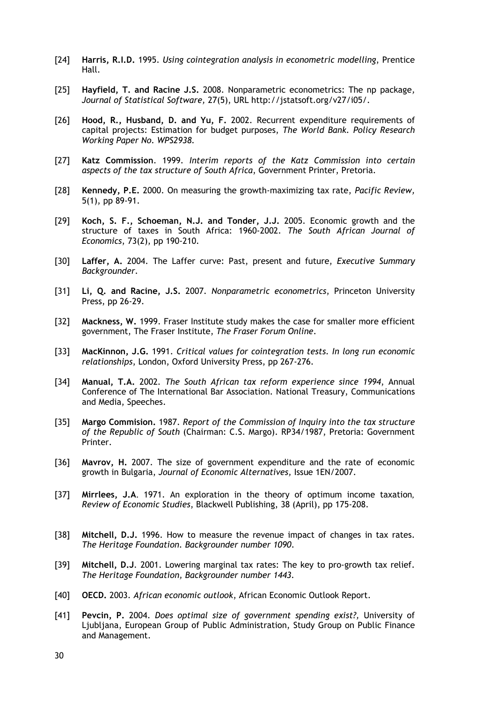- [24] **Harris, R.I.D.** 1995. *Using cointegration analysis in econometric modelling*, Prentice Hall.
- [25] **Hayfield, T. and Racine J.S.** 2008. Nonparametric econometrics: The np package*, Journal of Statistical Software,* 27(5), URL http://jstatsoft.org/v27/i05/.
- [26] **Hood, R., Husband, D. and Yu, F.** 2002. Recurrent expenditure requirements of capital projects: Estimation for budget purposes, *The World Bank. Policy Research Working Paper No. WPS2938.*
- [27] **Katz Commission**. 1999. *Interim reports of the Katz Commission into certain aspects of the tax structure of South Africa*, Government Printer, Pretoria.
- [28] **Kennedy, P.E.** 2000. On measuring the growth-maximizing tax rate, *Pacific Review,* 5(1), pp 89-91.
- [29] **Koch, S. F., Schoeman, N.J. and Tonder, J.J.** 2005. Economic growth and the structure of taxes in South Africa: 1960-2002. *The South African Journal of Economics*, 73(2), pp 190-210.
- [30] **Laffer, A.** 2004. The Laffer curve: Past, present and future, *Executive Summary Backgrounder*.
- [31] **Li, Q. and Racine, J.S.** 2007. *Nonparametric econometrics*, Princeton University Press, pp 26-29.
- [32] **Mackness, W.** 1999. Fraser Institute study makes the case for smaller more efficient government, The Fraser Institute, *The Fraser Forum Online*.
- [33] **MacKinnon, J.G.** 1991. *Critical values for cointegration tests. In long run economic relationships*, London, Oxford University Press, pp 267-276.
- [34] **Manual, T.A.** 2002*. The South African tax reform experience since 1994*, Annual Conference of The International Bar Association. National Treasury, Communications and Media, Speeches.
- [35] **Margo Commision.** 1987. *Report of the Commission of Inquiry into the tax structure of the Republic of South* (Chairman: C.S. Margo). RP34/1987, Pretoria: Government Printer.
- [36] **Mavrov, H.** 2007. The size of government expenditure and the rate of economic growth in Bulgaria, *Journal of Economic Alternatives,* Issue 1EN/2007.
- [37] **Mirrlees, J.A**. 1971. An exploration in the theory of optimum income taxation*, Review of Economic Studies*, Blackwell Publishing, 38 (April), pp 175-208.
- [38] **Mitchell, D.J.** 1996. How to measure the revenue impact of changes in tax rates. *The Heritage Foundation. Backgrounder number 1090*.
- [39] **Mitchell, D.J**. 2001. Lowering marginal tax rates: The key to pro-growth tax relief. *The Heritage Foundation, Backgrounder number 1443.*
- [40] **OECD.** 2003. *African economic outlook*, African Economic Outlook Report.
- [41] **Pevcin, P.** 2004. *Does optimal size of government spending exist?,* University of Ljubljana, European Group of Public Administration, Study Group on Public Finance and Management.